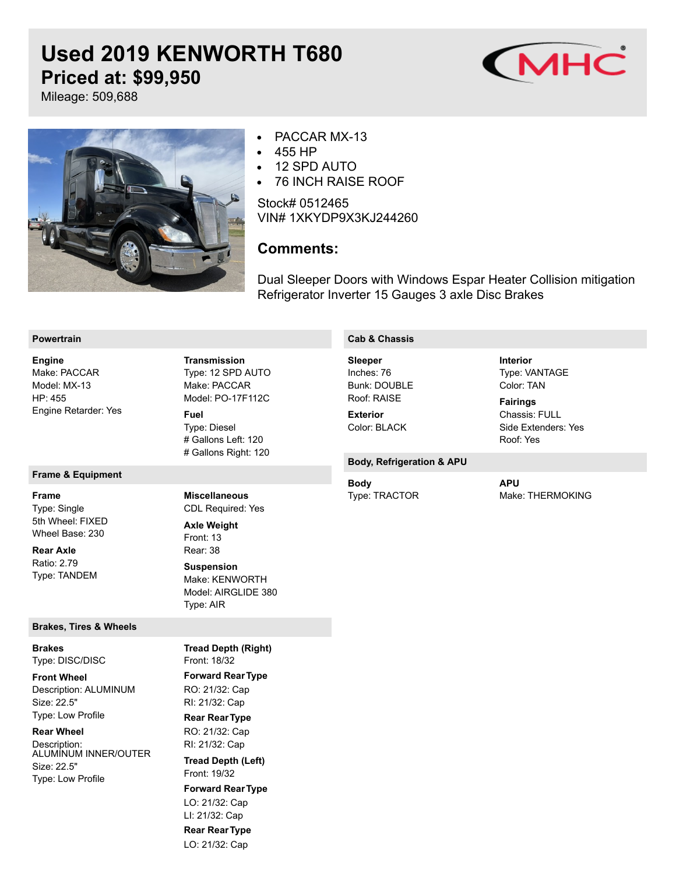# **Used 2019 KENWORTH T680 Priced at: \$99,950**



Mileage: 509,688



#### PACCAR MX-13  $\bullet$

- 455 HP  $\bullet$
- 12 SPD AUTO  $\bullet$
- 76 INCH RAISE ROOF  $\bullet$

Stock# 0512465 VIN# 1XKYDP9X3KJ244260

## **Comments:**

Dual Sleeper Doors with Windows Espar Heater Collision mitigation Refrigerator Inverter 15 Gauges 3 axle Disc Brakes

#### **Powertrain**

Make: PACCAR Model: MX-13 HP: 455 Engine Retarder: Yes **Engine**

#### **Frame & Equipment**

**Frame**

Type: Single 5th Wheel: FIXED Wheel Base: 230

Ratio: 2.79 Type: TANDEM **Rear Axle**

#### **Brakes, Tires & Wheels**

Type: DISC/DISC **Brakes**

Description: ALUMINUM Size: 22.5" Type: Low Profile **Front Wheel**

### **Rear Wheel**

Description: ALUMINUM INNER/OUTER Size: 22.5" Type: Low Profile

Type: 12 SPD AUTO Make: PACCAR Model: PO-17F112C Type: Diesel # Gallons Left: 120 # Gallons Right: 120 **Transmission Fuel**

CDL Required: Yes

**Miscellaneous**

Make: KENWORTH Model: AIRGLIDE 380

**Tread Depth (Right)**

Front: 13 Rear: 38

**Axle Weight**

**Suspension**

Type: AIR

#### **Cab & Chassis**

Inches: 76 Bunk: DOUBLE Roof: RAISE **Sleeper Exterior**

Color: BLACK

### **Body, Refrigeration & APU**

Type: TRACTOR **Body**

**APU**

Type: VANTAGE Color: TAN

Chassis: FULL Side Extenders: Yes

Roof: Yes

**Fairings**

**Interior**

Make: THERMOKING

Front: 18/32 **Forward RearType** RO: 21/32: Cap RI: 21/32: Cap **Rear RearType** RO: 21/32: Cap RI: 21/32: Cap Front: 19/32 **Forward RearType** LO: 21/32: Cap LI: 21/32: Cap **Rear RearType** LO: 21/32: Cap **Tread Depth (Left)**